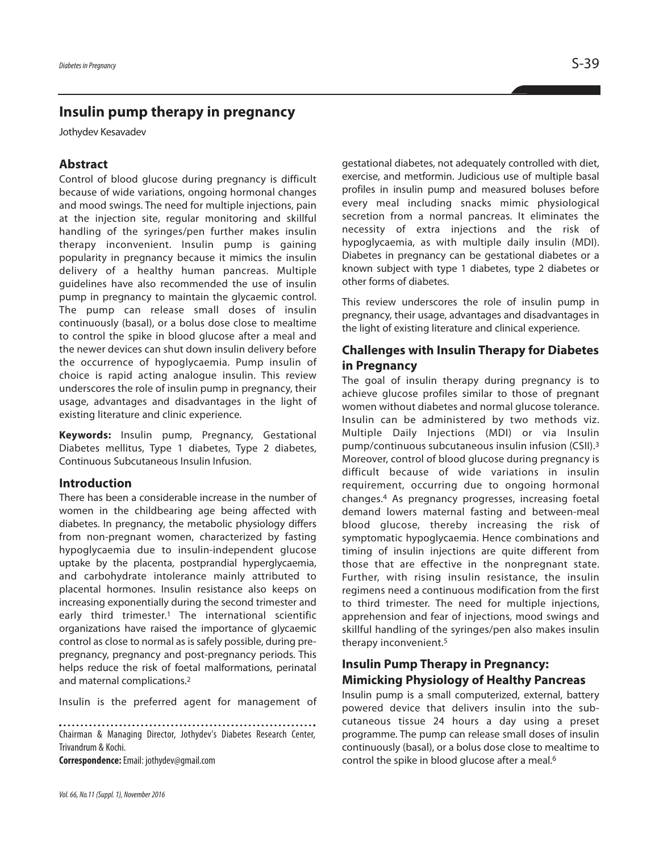# **Insulin pump therapy in pregnancy**

Jothydev Kesavadev

#### **Abstract**

Control of blood glucose during pregnancy is difficult because of wide variations, ongoing hormonal changes and mood swings. The need for multiple injections, pain at the injection site, regular monitoring and skillful handling of the syringes/pen further makes insulin therapy inconvenient. Insulin pump is gaining popularity in pregnancy because it mimics the insulin delivery of a healthy human pancreas. Multiple guidelines have also recommended the use of insulin pump in pregnancy to maintain the glycaemic control. The pump can release small doses of insulin continuously (basal), or a bolus dose close to mealtime to control the spike in blood glucose after a meal and the newer devices can shut down insulin delivery before the occurrence of hypoglycaemia. Pump insulin of choice is rapid acting analogue insulin. This review underscores the role of insulin pump in pregnancy, their usage, advantages and disadvantages in the light of existing literature and clinic experience.

**Keywords:** Insulin pump, Pregnancy, Gestational Diabetes mellitus, Type 1 diabetes, Type 2 diabetes, Continuous Subcutaneous Insulin Infusion.

### **Introduction**

There has been a considerable increase in the number of women in the childbearing age being affected with diabetes. In pregnancy, the metabolic physiology differs from non-pregnant women, characterized by fasting hypoglycaemia due to insulin-independent glucose uptake by the placenta, postprandial hyperglycaemia, and carbohydrate intolerance mainly attributed to placental hormones. Insulin resistance also keeps on increasing exponentially during the second trimester and early third trimester. <sup>1</sup> The international scientific organizations have raised the importance of glycaemic control as close to normal as is safely possible, during prepregnancy, pregnancy and post-pregnancy periods. This helps reduce the risk of foetal malformations, perinatal and maternal complications. 2

Insulin is the preferred agent for management of

Chairman & Managing Director, Jothydev's Diabetes Research Center, Trivandrum & Kochi.

**Correspondence:**Email: jothydev@gmail.com

gestational diabetes, not adequately controlled with diet, exercise, and metformin. Judicious use of multiple basal profiles in insulin pump and measured boluses before every meal including snacks mimic physiological secretion from a normal pancreas. It eliminates the necessity of extra injections and the risk of hypoglycaemia, as with multiple daily insulin (MDI). Diabetes in pregnancy can be gestational diabetes or a known subject with type 1 diabetes, type 2 diabetes or other forms of diabetes.

This review underscores the role of insulin pump in pregnancy, their usage, advantages and disadvantages in the light of existing literature and clinical experience.

### **Challenges with Insulin Therapy for Diabetes in Pregnancy**

The goal of insulin therapy during pregnancy is to achieve glucose profiles similar to those of pregnant women without diabetes and normal glucose tolerance. Insulin can be administered by two methods viz. Multiple Daily Injections (MDI) or via Insulin pump/continuous subcutaneous insulin infusion (CSII). 3 Moreover, control of blood glucose during pregnancy is difficult because of wide variations in insulin requirement, occurring due to ongoing hormonal changes. <sup>4</sup> As pregnancy progresses, increasing foetal demand lowers maternal fasting and between-meal blood glucose, thereby increasing the risk of symptomatic hypoglycaemia. Hence combinations and timing of insulin injections are quite different from those that are effective in the nonpregnant state. Further, with rising insulin resistance, the insulin regimens need a continuous modification from the first to third trimester. The need for multiple injections, apprehension and fear of injections, mood swings and skillful handling of the syringes/pen also makes insulin therapy inconvenient. 5

# **Insulin Pump Therapy in Pregnancy: Mimicking Physiology of Healthy Pancreas**

Insulin pump is a small computerized, external, battery powered device that delivers insulin into the subcutaneous tissue 24 hours a day using a preset programme. The pump can release small doses of insulin continuously (basal), or a bolus dose close to mealtime to control the spike in blood glucose after a meal. 6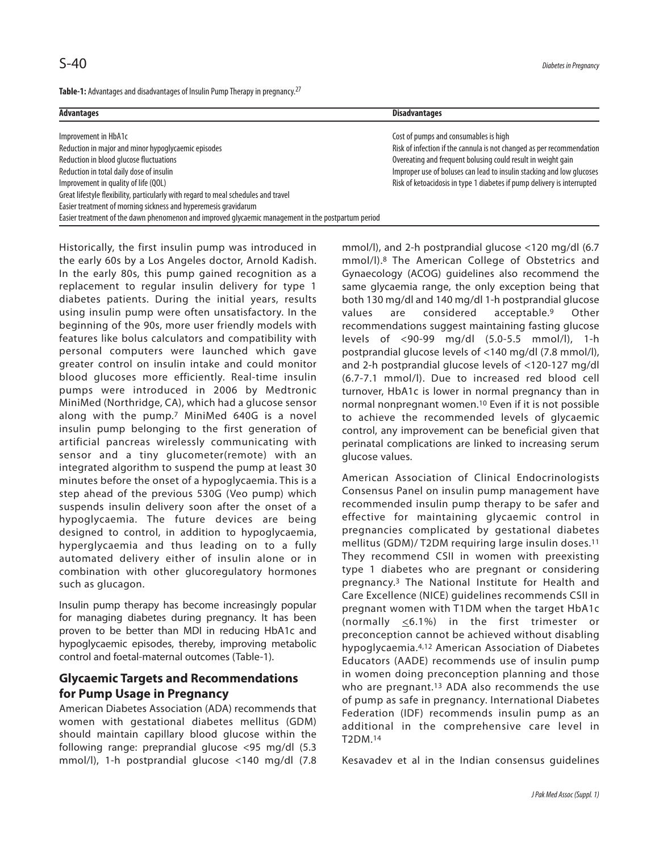Table-1: Advantages and disadvantages of Insulin Pump Therapy in pregnancy.<sup>27</sup>

| <b>Advantages</b>                                                                                  | <b>Disadvantages</b>                                                    |
|----------------------------------------------------------------------------------------------------|-------------------------------------------------------------------------|
| Improvement in HbA1c                                                                               | Cost of pumps and consumables is high                                   |
| Reduction in major and minor hypoglycaemic episodes                                                | Risk of infection if the cannula is not changed as per recommendation   |
| Reduction in blood glucose fluctuations                                                            | Overeating and frequent bolusing could result in weight gain            |
| Reduction in total daily dose of insulin                                                           | Improper use of boluses can lead to insulin stacking and low glucoses   |
| Improvement in quality of life (QOL)                                                               | Risk of ketoacidosis in type 1 diabetes if pump delivery is interrupted |
| Great lifestyle flexibility, particularly with regard to meal schedules and travel                 |                                                                         |
| Easier treatment of morning sickness and hyperemesis gravidarum                                    |                                                                         |
| Easier treatment of the dawn phenomenon and improved glycaemic management in the postpartum period |                                                                         |

Historically, the first insulin pump was introduced in the early 60s by a Los Angeles doctor, Arnold Kadish. In the early 80s, this pump gained recognition as a replacement to regular insulin delivery for type 1 diabetes patients. During the initial years, results using insulin pump were often unsatisfactory. In the beginning of the 90s, more user friendly models with features like bolus calculators and compatibility with personal computers were launched which gave greater control on insulin intake and could monitor blood glucoses more efficiently. Real-time insulin pumps were introduced in 2006 by Medtronic MiniMed (Northridge, CA), which had a glucose sensor along with the pump.7 MiniMed 640G is a novel insulin pump belonging to the first generation of artificial pancreas wirelessly communicating with sensor and a tiny glucometer(remote) with an integrated algorithm to suspend the pump at least 30 minutes before the onset of a hypoglycaemia. This is a step ahead of the previous 530G (Veo pump) which suspends insulin delivery soon after the onset of a hypoglycaemia. The future devices are being designed to control, in addition to hypoglycaemia, hyperglycaemia and thus leading on to a fully automated delivery either of insulin alone or in combination with other glucoregulatory hormones such as glucagon.

Insulin pump therapy has become increasingly popular for managing diabetes during pregnancy. It has been proven to be better than MDI in reducing HbA1c and hypoglycaemic episodes, thereby, improving metabolic control and foetal-maternal outcomes (Table-1).

# **Glycaemic Targets and Recommendations for Pump Usage in Pregnancy**

American Diabetes Association (ADA) recommends that women with gestational diabetes mellitus (GDM) should maintain capillary blood glucose within the following range: preprandial glucose <95 mg/dl (5.3 mmol/l), 1-h postprandial glucose <140 mg/dl (7.8 mmol/l), and 2-h postprandial glucose <120 mg/dl (6.7 mmol/l).8 The American College of Obstetrics and Gynaecology (ACOG) guidelines also recommend the same glycaemia range, the only exception being that both 130 mg/dl and 140 mg/dl 1-h postprandial glucose values are considered acceptable.9 Other recommendations suggest maintaining fasting glucose levels of <90-99 mg/dl (5.0-5.5 mmol/l), 1-h postprandial glucose levels of <140 mg/dl (7.8 mmol/l), and 2-h postprandial glucose levels of <120-127 mg/dl (6.7-7.1 mmol/l). Due to increased red blood cell turnover, HbA1c is lower in normal pregnancy than in normal nonpregnant women. <sup>10</sup> Even if it is not possible to achieve the recommended levels of glycaemic control, any improvement can be beneficial given that perinatal complications are linked to increasing serum glucose values.

American Association of Clinical Endocrinologists Consensus Panel on insulin pump management have recommended insulin pump therapy to be safer and effective for maintaining glycaemic control in pregnancies complicated by gestational diabetes mellitus (GDM)/ T2DM requiring large insulin doses.11 They recommend CSII in women with preexisting type 1 diabetes who are pregnant or considering pregnancy.3 The National Institute for Health and Care Excellence (NICE) guidelines recommends CSII in pregnant women with T1DM when the target HbA1c (normally  $\leq 6.1\%$ ) in the first trimester or preconception cannot be achieved without disabling hypoglycaemia.4,12 American Association of Diabetes Educators (AADE) recommends use of insulin pump in women doing preconception planning and those who are pregnant.<sup>13</sup> ADA also recommends the use of pump as safe in pregnancy. International Diabetes Federation (IDF) recommends insulin pump as an additional in the comprehensive care level in T2DM.14

Kesavadev et al in the Indian consensus guidelines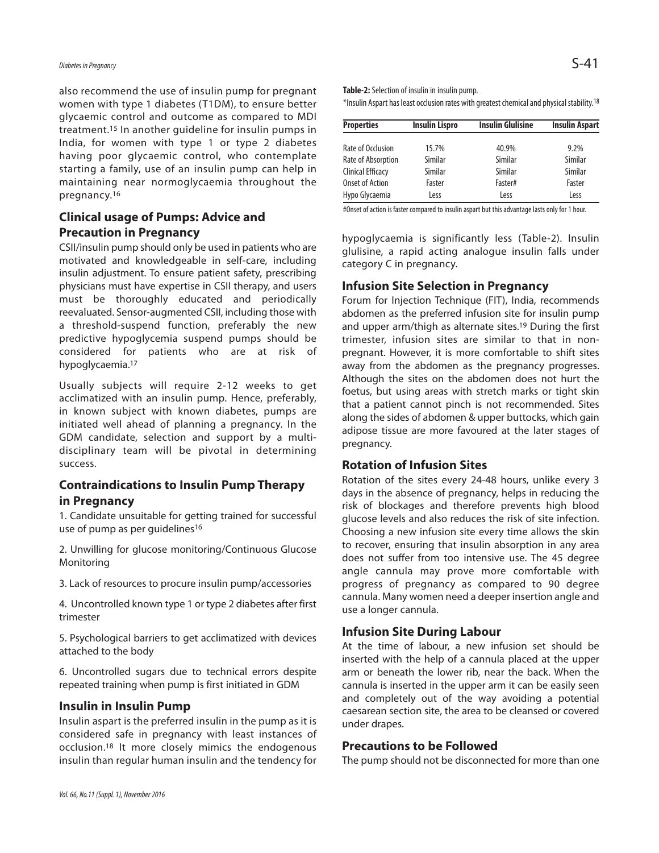also recommend the use of insulin pump for pregnant women with type 1 diabetes (T1DM), to ensure better glycaemic control and outcome as compared to MDI treatment.15 In another guideline for insulin pumps in India, for women with type 1 or type 2 diabetes having poor glycaemic control, who contemplate starting a family, use of an insulin pump can help in maintaining near normoglycaemia throughout the pregnancy.16

# **Clinical usage of Pumps: Advice and Precaution in Pregnancy**

CSII/insulin pump should only be used in patients who are motivated and knowledgeable in self-care, including insulin adjustment. To ensure patient safety, prescribing physicians must have expertise in CSII therapy, and users must be thoroughly educated and periodically reevaluated. Sensor-augmented CSII, including those with a threshold-suspend function, preferably the new predictive hypoglycemia suspend pumps should be considered for patients who are at risk of hypoglycaemia. 17

Usually subjects will require 2-12 weeks to get acclimatized with an insulin pump. Hence, preferably, in known subject with known diabetes, pumps are initiated well ahead of planning a pregnancy. In the GDM candidate, selection and support by a multidisciplinary team will be pivotal in determining success.

# **Contraindications to Insulin Pump Therapy in Pregnancy**

1. Candidate unsuitable for getting trained for successful use of pump as per quidelines<sup>16</sup>

2. Unwilling for glucose monitoring/Continuous Glucose Monitoring

3. Lack of resources to procure insulin pump/accessories

4. Uncontrolled known type 1 or type 2 diabetes after first trimester

5. Psychological barriers to get acclimatized with devices attached to the body

6. Uncontrolled sugars due to technical errors despite repeated training when pump is first initiated in GDM

#### **Insulin in Insulin Pump**

*Vol.66, No.11(Suppl.1), November2016*

Insulin aspart is the preferred insulin in the pump as it is considered safe in pregnancy with least instances of occlusion. <sup>18</sup> It more closely mimics the endogenous insulin than regular human insulin and the tendency for **Table-2:**Selection of insulin in insulin pump.

\*Insulin Aspart has least occlusion rates with greatest chemical and physical stability.<sup>18</sup>

| <b>Properties</b>        | <b>Insulin Lispro</b> | <b>Insulin Glulisine</b> | <b>Insulin Aspart</b> |  |
|--------------------------|-----------------------|--------------------------|-----------------------|--|
| Rate of Occlusion        | 15.7%                 | 40.9%                    | 9.2%                  |  |
| Rate of Absorption       | Similar               | Similar                  | Similar               |  |
| <b>Clinical Efficacy</b> | Similar               | Similar                  | Similar               |  |
| <b>Onset of Action</b>   | Faster                | Faster#                  | Faster                |  |
| Hypo Glycaemia           | Less                  | Less                     | Less                  |  |

#Onset of action is faster compared to insulin aspart but this advantage lasts only for 1 hour.

hypoglycaemia is significantly less (Table-2). Insulin glulisine, a rapid acting analogue insulin falls under category C in pregnancy.

#### **Infusion Site Selection in Pregnancy**

Forum for Injection Technique (FIT), India, recommends abdomen as the preferred infusion site for insulin pump and upper arm/thigh as alternate sites. <sup>19</sup> During the first trimester, infusion sites are similar to that in nonpregnant. However, it is more comfortable to shift sites away from the abdomen as the pregnancy progresses. Although the sites on the abdomen does not hurt the foetus, but using areas with stretch marks or tight skin that a patient cannot pinch is not recommended. Sites along the sides of abdomen & upper buttocks, which gain adipose tissue are more favoured at the later stages of pregnancy.

# **Rotation of Infusion Sites**

Rotation of the sites every 24-48 hours, unlike every 3 days in the absence of pregnancy, helps in reducing the risk of blockages and therefore prevents high blood glucose levels and also reduces the risk of site infection. Choosing a new infusion site every time allows the skin to recover, ensuring that insulin absorption in any area does not suffer from too intensive use. The 45 degree angle cannula may prove more comfortable with progress of pregnancy as compared to 90 degree cannula. Many women need a deeper insertion angle and use a longer cannula.

#### **Infusion Site During Labour**

At the time of labour, a new infusion set should be inserted with the help of a cannula placed at the upper arm or beneath the lower rib, near the back. When the cannula is inserted in the upper arm it can be easily seen and completely out of the way avoiding a potential caesarean section site, the area to be cleansed or covered under drapes.

#### **Precautions to be Followed**

The pump should not be disconnected for more than one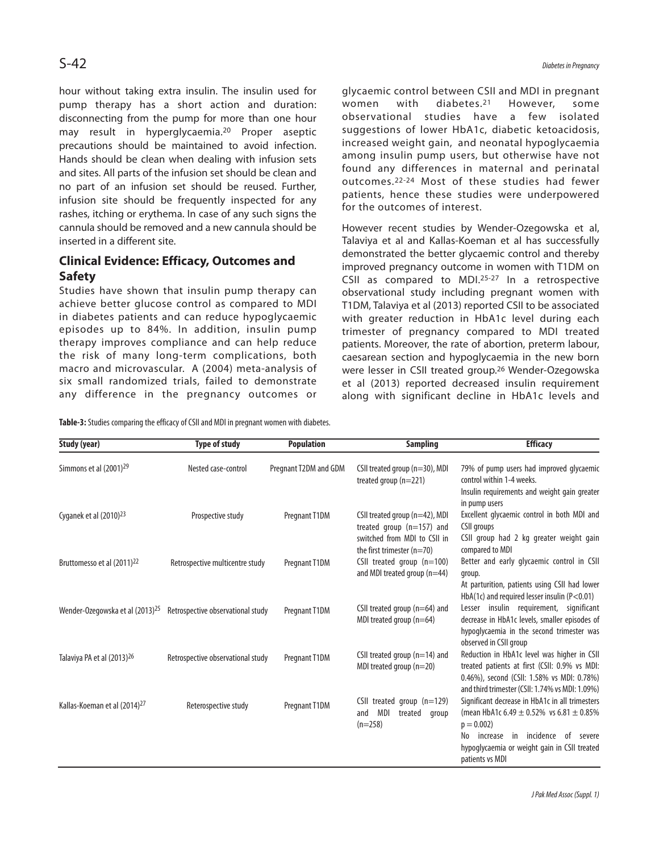hour without taking extra insulin. The insulin used for pump therapy has a short action and duration: disconnecting from the pump for more than one hour may result in hyperglycaemia. 20 Proper aseptic precautions should be maintained to avoid infection. Hands should be clean when dealing with infusion sets and sites. All parts of the infusion set should be clean and no part of an infusion set should be reused. Further, infusion site should be frequently inspected for any rashes, itching or erythema. In case of any such signs the cannula should be removed and a new cannula should be inserted in a different site.

# **Clinical Evidence: Efficacy, Outcomes and Safety**

Studies have shown that insulin pump therapy can achieve better glucose control as compared to MDI in diabetes patients and can reduce hypoglycaemic episodes up to 84%. In addition, insulin pump therapy improves compliance and can help reduce the risk of many long-term complications, both macro and microvascular. A (2004) meta-analysis of six small randomized trials, failed to demonstrate any difference in the pregnancy outcomes or glycaemic control between CSII and MDI in pregnant women with diabetes.21 However, some observational studies have a few isolated suggestions of lower HbA1c, diabetic ketoacidosis, increased weight gain, and neonatal hypoglycaemia among insulin pump users, but otherwise have not found any differences in maternal and perinatal outcomes.22-24 Most of these studies had fewer patients, hence these studies were underpowered for the outcomes of interest.

However recent studies by Wender-Ozegowska et al, Talaviya et al and Kallas-Koeman et al has successfully demonstrated the better glycaemic control and thereby improved pregnancy outcome in women with T1DM on CSII as compared to MDI.25-27 In a retrospective observational study including pregnant women with T1DM, Talaviya et al (2013) reported CSII to be associated with greater reduction in HbA1c level during each trimester of pregnancy compared to MDI treated patients. Moreover, the rate of abortion, preterm labour, caesarean section and hypoglycaemia in the new born were lesser in CSII treated group. <sup>26</sup> Wender-Ozegowska et al (2013) reported decreased insulin requirement along with significant decline in HbA1c levels and

Table-3: Studies comparing the efficacy of CSII and MDI in pregnant women with diabetes.

| Study (year)                                | <b>Type of study</b>              | <b>Population</b>     | <b>Sampling</b>                                                                                                               | <b>Efficacy</b>                                                                                                                                                                                                                   |
|---------------------------------------------|-----------------------------------|-----------------------|-------------------------------------------------------------------------------------------------------------------------------|-----------------------------------------------------------------------------------------------------------------------------------------------------------------------------------------------------------------------------------|
| Simmons et al (2001) <sup>29</sup>          | Nested case-control               | Pregnant T2DM and GDM | CSII treated group (n=30), MDI<br>treated group (n=221)                                                                       | 79% of pump users had improved glycaemic<br>control within 1-4 weeks.<br>Insulin requirements and weight gain greater<br>in pump users                                                                                            |
| Cyganek et al (2010) <sup>23</sup>          | Prospective study                 | Pregnant T1DM         | CSII treated group (n=42), MDI<br>treated group $(n=157)$ and<br>switched from MDI to CSII in<br>the first trimester $(n=70)$ | Excellent glycaemic control in both MDI and<br>CSII groups<br>CSII group had 2 kg greater weight gain<br>compared to MDI                                                                                                          |
| Bruttomesso et al (2011) <sup>22</sup>      | Retrospective multicentre study   | Pregnant T1DM         | CSII treated group (n=100)<br>and MDI treated group (n=44)                                                                    | Better and early glycaemic control in CSII<br>group.<br>At parturition, patients using CSII had lower<br>HbA(1c) and required lesser insulin ( $P < 0.01$ )                                                                       |
| Wender-Ozegowska et al (2013) <sup>25</sup> | Retrospective observational study | Pregnant T1DM         | CSII treated group (n=64) and<br>MDI treated group $(n=64)$                                                                   | Lesser insulin requirement, significant<br>decrease in HbA1c levels, smaller episodes of<br>hypoglycaemia in the second trimester was<br>observed in CSII group                                                                   |
| Talaviya PA et al (2013) <sup>26</sup>      | Retrospective observational study | Pregnant T1DM         | CSII treated group ( $n=14$ ) and<br>MDI treated group (n=20)                                                                 | Reduction in HbA1c level was higher in CSII<br>treated patients at first (CSII: 0.9% vs MDI:<br>0.46%), second (CSII: 1.58% vs MDI: 0.78%)<br>and third trimester (CSII: 1.74% vs MDI: 1.09%)                                     |
| Kallas-Koeman et al (2014) <sup>27</sup>    | Reterospective study              | Pregnant T1DM         | CSII treated group (n=129)<br>MDI<br>treated<br>and<br>group<br>$(n=258)$                                                     | Significant decrease in HbA1c in all trimesters<br>(mean HbA1c 6.49 $\pm$ 0.52% vs 6.81 $\pm$ 0.85%<br>$p = 0.002$<br>in incidence of severe<br>increase<br>No<br>hypoglycaemia or weight gain in CSII treated<br>patients vs MDI |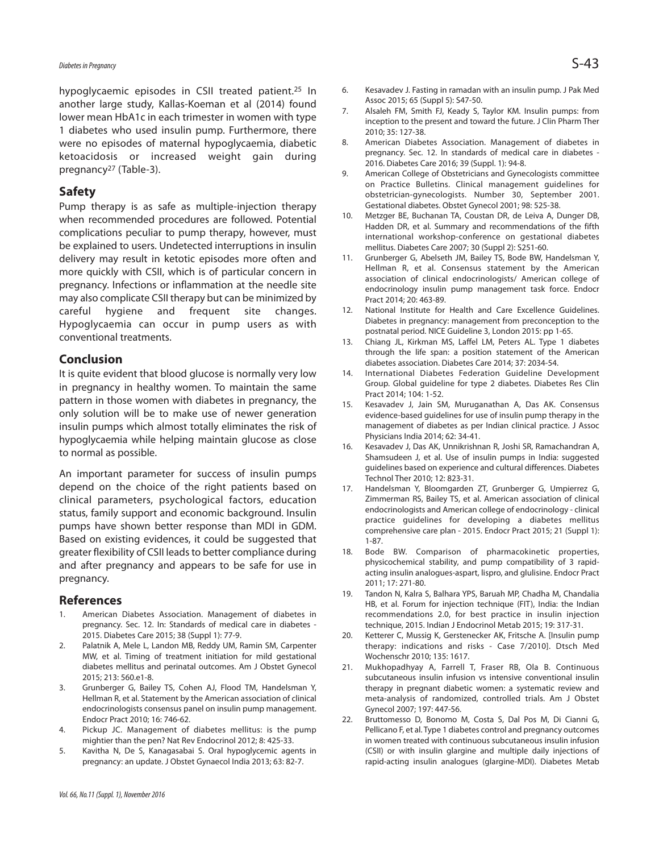# *Diabetes inPregnancy* S-43

hypoglycaemic episodes in CSII treated patient. <sup>25</sup> In another large study, Kallas-Koeman et al (2014) found lower mean HbA1c in each trimester in women with type 1 diabetes who used insulin pump. Furthermore, there were no episodes of maternal hypoglycaemia, diabetic ketoacidosis or increased weight gain during pregnancy27 (Table-3).

#### **Safety**

Pump therapy is as safe as multiple-injection therapy when recommended procedures are followed. Potential complications peculiar to pump therapy, however, must be explained to users. Undetected interruptions in insulin delivery may result in ketotic episodes more often and more quickly with CSII, which is of particular concern in pregnancy. Infections or inflammation at the needle site may also complicate CSII therapy but can be minimized by careful hygiene and frequent site changes. Hypoglycaemia can occur in pump users as with conventional treatments.

#### **Conclusion**

It is quite evident that blood glucose is normally very low in pregnancy in healthy women. To maintain the same pattern in those women with diabetes in pregnancy, the only solution will be to make use of newer generation insulin pumps which almost totally eliminates the risk of hypoglycaemia while helping maintain glucose as close to normal as possible.

An important parameter for success of insulin pumps depend on the choice of the right patients based on clinical parameters, psychological factors, education status, family support and economic background. Insulin pumps have shown better response than MDI in GDM. Based on existing evidences, it could be suggested that greater flexibility of CSII leadsto better compliance during and after pregnancy and appears to be safe for use in pregnancy.

#### **References**

- 1. American Diabetes Association. Management of diabetes in pregnancy. Sec. 12. In: Standards of medical care in diabetes - 2015. Diabetes Care 2015; 38 (Suppl 1): 77-9.
- 2. Palatnik A, Mele L, Landon MB, Reddy UM, Ramin SM, Carpenter MW, et al. Timing of treatment initiation for mild gestational diabetes mellitus and perinatal outcomes. Am J Obstet Gynecol 2015; 213: 560.e1-8.
- 3. Grunberger G, Bailey TS, Cohen AJ, Flood TM, Handelsman Y, Hellman R, et al. Statement by the American association of clinical endocrinologists consensus panel on insulin pump management. Endocr Pract 2010; 16: 746-62.
- 4. Pickup JC. Management of diabetes mellitus: is the pump mightier than the pen? Nat Rev Endocrinol 2012; 8: 425-33.
- 5. Kavitha N, De S, Kanagasabai S. Oral hypoglycemic agents in pregnancy: an update. J Obstet Gynaecol India 2013; 63: 82-7.
- 6. Kesavadev J. Fasting in ramadan with an insulin pump. J Pak Med Assoc 2015; 65 (Suppl 5): S47-50.
- 7. Alsaleh FM, Smith FJ, Keady S, Taylor KM. Insulin pumps: from inception to the present and toward the future. J Clin Pharm Ther 2010; 35: 127-38.
- 8. American Diabetes Association. Management of diabetes in pregnancy. Sec. 12. In standards of medical care in diabetes - 2016. Diabetes Care 2016; 39 (Suppl. 1): 94-8.
- 9. American College of Obstetricians and Gynecologists committee on Practice Bulletins. Clinical management guidelines for obstetrician-gynecologists. Number 30, September 2001. Gestational diabetes. Obstet Gynecol 2001; 98: 525-38.
- 10. Metzger BE, Buchanan TA, Coustan DR, de Leiva A, Dunger DB, Hadden DR, et al. Summary and recommendations of the fifth international workshop-conference on gestational diabetes mellitus. Diabetes Care 2007; 30 (Suppl 2): S251-60.
- 11. Grunberger G, Abelseth JM, Bailey TS, Bode BW, Handelsman Y, Hellman R, et al. Consensus statement by the American association of clinical endocrinologists/ American college of endocrinology insulin pump management task force. Endocr Pract 2014; 20: 463-89.
- 12. National Institute for Health and Care Excellence Guidelines. Diabetes in pregnancy: management from preconception to the postnatal period. NICE Guideline 3, London 2015: pp 1-65.
- 13. Chiang JL, Kirkman MS, Laffel LM, Peters AL. Type 1 diabetes through the life span: a position statement of the American diabetes association. Diabetes Care 2014; 37: 2034-54.
- 14. International Diabetes Federation Guideline Development Group. Global guideline for type 2 diabetes. Diabetes Res Clin Pract 2014; 104: 1-52.
- 15. Kesavadev J, Jain SM, Muruganathan A, Das AK. Consensus evidence-based guidelines for use of insulin pump therapy in the management of diabetes as per Indian clinical practice. J Assoc Physicians India 2014; 62: 34-41.
- 16. Kesavadev J, Das AK, Unnikrishnan R, Joshi SR, Ramachandran A, Shamsudeen J, et al. Use of insulin pumps in India: suggested guidelines based on experience and cultural differences. Diabetes Technol Ther 2010; 12: 823-31.
- 17. Handelsman Y, Bloomgarden ZT, Grunberger G, Umpierrez G, Zimmerman RS, Bailey TS, et al. American association of clinical endocrinologists and American college of endocrinology - clinical practice guidelines for developing a diabetes mellitus comprehensive care plan - 2015. Endocr Pract 2015; 21 (Suppl 1): 1-87.
- 18. Bode BW. Comparison of pharmacokinetic properties, physicochemical stability, and pump compatibility of 3 rapidacting insulin analogues-aspart, lispro, and glulisine. Endocr Pract 2011; 17: 271-80.
- 19. Tandon N, Kalra S, Balhara YPS, Baruah MP, Chadha M, Chandalia HB, et al. Forum for injection technique (FIT), India: the Indian recommendations 2.0, for best practice in insulin injection technique, 2015. Indian J Endocrinol Metab 2015; 19: 317-31.
- 20. Ketterer C, Mussig K, Gerstenecker AK, Fritsche A. [Insulin pump therapy: indications and risks - Case 7/2010]. Dtsch Med Wochenschr 2010; 135: 1617.
- 21. Mukhopadhyay A, Farrell T, Fraser RB, Ola B. Continuous subcutaneous insulin infusion vs intensive conventional insulin therapy in pregnant diabetic women: a systematic review and meta-analysis of randomized, controlled trials. Am J Obstet Gynecol 2007; 197: 447-56.
- 22. Bruttomesso D, Bonomo M, Costa S, Dal Pos M, Di Cianni G, Pellicano F, et al. Type 1 diabetes control and pregnancy outcomes in women treated with continuous subcutaneous insulin infusion (CSII) or with insulin glargine and multiple daily injections of rapid-acting insulin analogues (glargine-MDI). Diabetes Metab